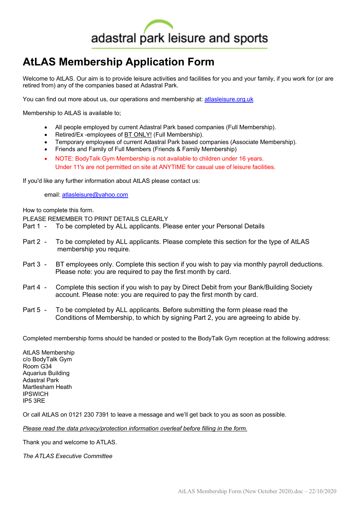# adastral park leisure and sports

# **AtLAS Membership Application Form**

Welcome to AtLAS. Our aim is to provide leisure activities and facilities for you and your family, if you work for (or are retired from) any of the companies based at Adastral Park.

You can find out more about us, our operations and membership at: atlasleisure.org.uk

Membership to AtLAS is available to;

- All people employed by current Adastral Park based companies (Full Membership).
- Retired/Ex -employees of BT ONLY! (Full Membership).
- Temporary employees of current Adastral Park based companies (Associate Membership).
- Friends and Family of Full Members (Friends & Family Membership)
- NOTE: BodyTalk Gym Membership is not available to children under 16 years. Under 11's are not permitted on site at ANYTIME for casual use of leisure facilities.

If you'd like any further information about AtLAS please contact us:

email: atlasleisure@yahoo.com

How to complete this form.

PLEASE REMEMBER TO PRINT DETAILS CLEARLY

- Part 1 To be completed by ALL applicants. Please enter your Personal Details
- Part 2 To be completed by ALL applicants. Please complete this section for the type of AtLAS membership you require.
- Part 3 BT employees only. Complete this section if you wish to pay via monthly payroll deductions. Please note: you are required to pay the first month by card.
- Part 4 Complete this section if you wish to pay by Direct Debit from your Bank/Building Society account. Please note: you are required to pay the first month by card.
- Part 5 To be completed by ALL applicants. Before submitting the form please read the Conditions of Membership, to which by signing Part 2, you are agreeing to abide by.

Completed membership forms should be handed or posted to the BodyTalk Gym reception at the following address:

AtLAS Membership c/o BodyTalk Gym Room G34 Aquarius Building Adastral Park Martlesham Heath IPSWICH IP5 3RE

Or call AtLAS on 0121 230 7391 to leave a message and we'll get back to you as soon as possible.

*Please read the data privacy/protection information overleaf before filling in the form.*

Thank you and welcome to ATLAS.

*The ATLAS Executive Committee*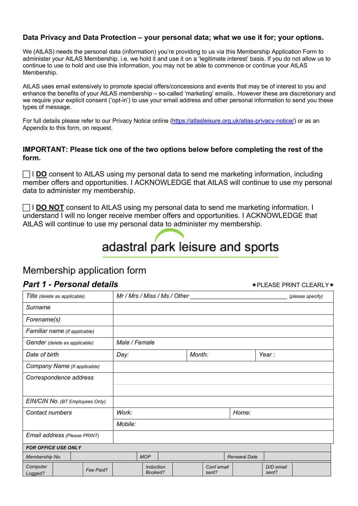#### **Data Privacy and Data Protection – your personal data; what we use it for; your options.**

We (AtLAS) needs the personal data (information) you're providing to us via this Membership Application Form to administer your AtLAS Membership. i.e. we hold it and use it on a 'legitimate interest' basis. If you do not allow us to continue to use to hold and use this information, you may not be able to commence or continue your AtLAS Membership.

AtLAS uses email extensively to promote special offers/concessions and events that may be of interest to you and enhance the benefits of your AtLAS membership – so-called 'marketing' emails.. However these are discretionary and we require your explicit consent ('opt-in') to use your email address and other personal information to send you these types of message.

For full details please refer to our Privacy Notice online (https://atlasleisure.org.uk/atlas-privacy-notice/) or as an Appendix to this form, on request.

#### **IMPORTANT: Please tick one of the two options below before completing the rest of the form.**

 $\Box$  **I DO** consent to AtLAS using my personal data to send me marketing information, including member offers and opportunities. I ACKNOWLEDGE that AtLAS will continue to use my personal data to administer my membership.

**T** I DO NOT consent to AtLAS using my personal data to send me marketing information. I understand I will no longer receive member offers and opportunities. I ACKNOWLEDGE that AtLAS will continue to use my personal data to administer my membership.

# adastral park leisure and sports

### Membership application form

#### **Part 1 - Personal details**  $\star$  **PLEASE PRINT CLEARLY** $\star$

| Title (delete as applicable)     | Mr / Mrs / Miss / Ms / Other | (please specify)    |                    |  |  |  |  |  |  |  |  |  |  |
|----------------------------------|------------------------------|---------------------|--------------------|--|--|--|--|--|--|--|--|--|--|
| Surname                          |                              |                     |                    |  |  |  |  |  |  |  |  |  |  |
| Forename(s)                      |                              |                     |                    |  |  |  |  |  |  |  |  |  |  |
| Familiar name (If applicable)    |                              |                     |                    |  |  |  |  |  |  |  |  |  |  |
| Gender (delete as applicable)    | Male / Female                |                     |                    |  |  |  |  |  |  |  |  |  |  |
| Date of birth                    | Day:                         | Month:              | Year:              |  |  |  |  |  |  |  |  |  |  |
| Company Name (If applicable)     |                              |                     |                    |  |  |  |  |  |  |  |  |  |  |
| Correspondence address           |                              |                     |                    |  |  |  |  |  |  |  |  |  |  |
|                                  |                              |                     |                    |  |  |  |  |  |  |  |  |  |  |
| EIN/CIN No. (BT Employees Only)  |                              |                     |                    |  |  |  |  |  |  |  |  |  |  |
| Contact numbers                  | Work:                        |                     |                    |  |  |  |  |  |  |  |  |  |  |
|                                  | Mobile:                      |                     |                    |  |  |  |  |  |  |  |  |  |  |
| Email address (Please PRINT)     |                              |                     |                    |  |  |  |  |  |  |  |  |  |  |
| <b>FOR OFFICE USE ONLY</b>       |                              |                     |                    |  |  |  |  |  |  |  |  |  |  |
| Membership No.                   | <b>MOP</b>                   | <b>Renewal Date</b> |                    |  |  |  |  |  |  |  |  |  |  |
| Computer<br>Fee Paid?<br>Logged? | <b>Induction</b><br>Booked?  | Conf email<br>sent? | D/D email<br>sent? |  |  |  |  |  |  |  |  |  |  |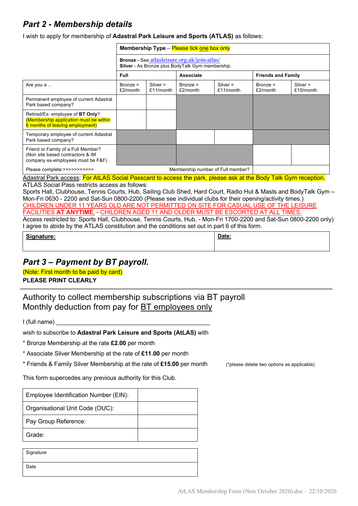## *Part 2 - Membership details*

I wish to apply for membership of **Adastral Park Leisure and Sports (ATLAS)** as follows:

|                                                                                                              | Membership Type - Please tick one box only |                                                                                                  |                                   |                         |                           |                         |  |  |  |  |  |  |
|--------------------------------------------------------------------------------------------------------------|--------------------------------------------|--------------------------------------------------------------------------------------------------|-----------------------------------|-------------------------|---------------------------|-------------------------|--|--|--|--|--|--|
|                                                                                                              |                                            | Bronze - See atlasleisure.org.uk/join-atlas/<br>Silver - As Bronze plus BodyTalk Gym membership. |                                   |                         |                           |                         |  |  |  |  |  |  |
|                                                                                                              | Full                                       | <b>Friends and Family</b><br><b>Associate</b>                                                    |                                   |                         |                           |                         |  |  |  |  |  |  |
| Are you a                                                                                                    | $Bronze =$<br>$£2/m$ onth                  | $Silver =$<br>£11/month                                                                          | $Bronze =$<br>£2/month            | $Silver =$<br>£11/month | $Bronze =$<br>$£2/m$ onth | $Silver =$<br>£15/month |  |  |  |  |  |  |
| Permanent employee of current Adastral<br>Park based company?                                                |                                            |                                                                                                  |                                   |                         |                           |                         |  |  |  |  |  |  |
| Retired/Ex-employee of BT Only?<br>(Membership application must be within<br>6 months of leaving employment) |                                            |                                                                                                  |                                   |                         |                           |                         |  |  |  |  |  |  |
| Temporary employee of current Adastral<br>Park based company?                                                |                                            |                                                                                                  |                                   |                         |                           |                         |  |  |  |  |  |  |
| Friend or Family of a Full Member?<br>(Non site based contractors & IM<br>company ex-employees must be F&F)  |                                            |                                                                                                  |                                   |                         |                           |                         |  |  |  |  |  |  |
| Please complete:>>>>>>>>>>>                                                                                  |                                            |                                                                                                  | Membership number of Full member? |                         |                           |                         |  |  |  |  |  |  |

Adastral Park access: For AtLAS Social Passcard to access the park, please ask at the Body Talk Gym reception. ATLAS Social Pass restricts access as follows:

Sports Hall, Clubhouse, Tennis Courts, Hub, Sailing Club Shed, Hard Court, Radio Hut & Masts and BodyTalk Gym – Mon-Fri 0630 - 2200 and Sat-Sun 0800-2200 (Please see individual clubs for their opening/activity times.) CHILDREN UNDER 11 YEARS OLD ARE NOT PERMITTED ON SITE FOR CASUAL USE OF THE LEISURE **FACILITIES AT ANYTIME. - CHILDREN AGED 11 AND OLDER MUST BE ESCORTED AT ALL TIMES** 

Access restricted to: Sports Hall, Clubhouse, Tennis Courts, Hub, - Mon-Fri 1700-2200 and Sat-Sun 0800-2200 only) I agree to abide by the ATLAS constitution and the conditions set out in part 6 of this form.

| Signature:<br>$-$ | Date: |
|-------------------|-------|
|                   |       |

## *Part 3 – Payment by BT payroll.*

(Note: First month to be paid by card) **PLEASE PRINT CLEARLY**

Authority to collect membership subscriptions via BT payroll Monthly deduction from pay for BT employees only

 $I$  (full name)

wish to subscribe to **Adastral Park Leisure and Sports (AtLAS)** with

\* Bronze Membership at the rate **£2.00** per month

\* Associate Silver Membership at the rate of **£11.00** per month

\* Friends & Family Silver Membership at the rate of **£15.00** per month (\*please delete two options as applicable)

This form supercedes any previous authority for this Club.

| Employee Identification Number (EIN): |  |
|---------------------------------------|--|
| Organisational Unit Code (OUC):       |  |
| Pay Group Reference:                  |  |
| Grade:                                |  |

| Signature |  |  |
|-----------|--|--|
| Date      |  |  |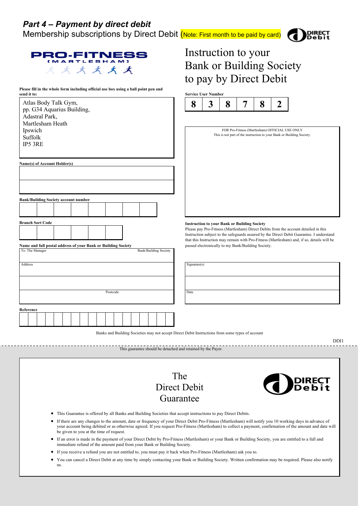Membership subscriptions by Direct Debit (Note: First month to be paid by card)

Instruction to your

Bank or Building Society

to pay by Direct Debit



| <b>PRO-FITNESS</b> |  | (MARTLESHAM) |  |
|--------------------|--|--------------|--|
|                    |  | x x x x x    |  |

**Please fill in the whole form including official use box using a ball point pen and** 

| send it to:     |                             | r icase im in the whole form including official ase lost asing a ball point pen and |  |  |  |  |  |  |          |  |                              |  |  |      |              | <b>Service User Number</b>                                            |                                                                                                  |   |                                                |                |                                                                                                                                                                                         |
|-----------------|-----------------------------|-------------------------------------------------------------------------------------|--|--|--|--|--|--|----------|--|------------------------------|--|--|------|--------------|-----------------------------------------------------------------------|--------------------------------------------------------------------------------------------------|---|------------------------------------------------|----------------|-----------------------------------------------------------------------------------------------------------------------------------------------------------------------------------------|
|                 |                             | Atlas Body Talk Gym,                                                                |  |  |  |  |  |  |          |  |                              |  |  |      | 8            | 3                                                                     | 8                                                                                                | 7 | 8                                              | $\overline{2}$ |                                                                                                                                                                                         |
|                 |                             | pp. G34 Aquarius Building,                                                          |  |  |  |  |  |  |          |  |                              |  |  |      |              |                                                                       |                                                                                                  |   |                                                |                |                                                                                                                                                                                         |
|                 |                             | Adastral Park,                                                                      |  |  |  |  |  |  |          |  |                              |  |  |      |              |                                                                       |                                                                                                  |   |                                                |                |                                                                                                                                                                                         |
|                 | Martlesham Heath<br>Ipswich |                                                                                     |  |  |  |  |  |  |          |  |                              |  |  |      |              |                                                                       |                                                                                                  |   | FOR Pro-Fitness (Martlesham) OFFICIAL USE ONLY |                |                                                                                                                                                                                         |
|                 | Suffolk                     |                                                                                     |  |  |  |  |  |  |          |  |                              |  |  |      |              | This is not part of the instruction to your Bank or Building Society. |                                                                                                  |   |                                                |                |                                                                                                                                                                                         |
| IP5 3RE         |                             |                                                                                     |  |  |  |  |  |  |          |  |                              |  |  |      |              |                                                                       |                                                                                                  |   |                                                |                |                                                                                                                                                                                         |
|                 |                             |                                                                                     |  |  |  |  |  |  |          |  |                              |  |  |      |              |                                                                       |                                                                                                  |   |                                                |                |                                                                                                                                                                                         |
|                 |                             | Name(s) of Account Holder(s)                                                        |  |  |  |  |  |  |          |  |                              |  |  |      |              |                                                                       |                                                                                                  |   |                                                |                |                                                                                                                                                                                         |
|                 |                             |                                                                                     |  |  |  |  |  |  |          |  |                              |  |  |      |              |                                                                       |                                                                                                  |   |                                                |                |                                                                                                                                                                                         |
|                 |                             |                                                                                     |  |  |  |  |  |  |          |  |                              |  |  |      |              |                                                                       |                                                                                                  |   |                                                |                |                                                                                                                                                                                         |
|                 |                             |                                                                                     |  |  |  |  |  |  |          |  |                              |  |  |      |              |                                                                       |                                                                                                  |   |                                                |                |                                                                                                                                                                                         |
|                 |                             | <b>Bank/Building Society account number</b>                                         |  |  |  |  |  |  |          |  |                              |  |  |      |              |                                                                       |                                                                                                  |   |                                                |                |                                                                                                                                                                                         |
|                 |                             |                                                                                     |  |  |  |  |  |  |          |  |                              |  |  |      |              |                                                                       |                                                                                                  |   |                                                |                |                                                                                                                                                                                         |
|                 |                             | <b>Branch Sort Code</b>                                                             |  |  |  |  |  |  |          |  |                              |  |  |      |              |                                                                       |                                                                                                  |   |                                                |                |                                                                                                                                                                                         |
|                 |                             |                                                                                     |  |  |  |  |  |  |          |  |                              |  |  |      |              |                                                                       | <b>Instruction to your Bank or Building Society</b>                                              |   |                                                |                | Please pay Pro-Fitness (Martlesham) Direct Debits from the account detailed in this                                                                                                     |
|                 |                             |                                                                                     |  |  |  |  |  |  |          |  |                              |  |  |      |              |                                                                       |                                                                                                  |   |                                                |                | Instruction subject to the safeguards assured by the Direct Debit Guarantee. I understand<br>that this Instruction may remain with Pro-Fitness (Martlesham) and, if so, details will be |
|                 |                             | Name and full postal address of your Bank or Building Society                       |  |  |  |  |  |  |          |  |                              |  |  |      |              |                                                                       | passed electronically to my Bank/Building Society.                                               |   |                                                |                |                                                                                                                                                                                         |
| To: The Manager |                             |                                                                                     |  |  |  |  |  |  |          |  | <b>Bank/Building Society</b> |  |  |      |              |                                                                       |                                                                                                  |   |                                                |                |                                                                                                                                                                                         |
| Address         |                             |                                                                                     |  |  |  |  |  |  |          |  |                              |  |  |      | Signature(s) |                                                                       |                                                                                                  |   |                                                |                |                                                                                                                                                                                         |
|                 |                             |                                                                                     |  |  |  |  |  |  |          |  |                              |  |  |      |              |                                                                       |                                                                                                  |   |                                                |                |                                                                                                                                                                                         |
|                 |                             |                                                                                     |  |  |  |  |  |  |          |  |                              |  |  |      |              |                                                                       |                                                                                                  |   |                                                |                |                                                                                                                                                                                         |
|                 |                             |                                                                                     |  |  |  |  |  |  | Postcode |  |                              |  |  | Date |              |                                                                       |                                                                                                  |   |                                                |                |                                                                                                                                                                                         |
|                 |                             |                                                                                     |  |  |  |  |  |  |          |  |                              |  |  |      |              |                                                                       |                                                                                                  |   |                                                |                |                                                                                                                                                                                         |
| Reference       |                             |                                                                                     |  |  |  |  |  |  |          |  |                              |  |  |      |              |                                                                       |                                                                                                  |   |                                                |                |                                                                                                                                                                                         |
|                 |                             |                                                                                     |  |  |  |  |  |  |          |  |                              |  |  |      |              |                                                                       |                                                                                                  |   |                                                |                |                                                                                                                                                                                         |
|                 |                             |                                                                                     |  |  |  |  |  |  |          |  |                              |  |  |      |              |                                                                       |                                                                                                  |   |                                                |                |                                                                                                                                                                                         |
|                 |                             |                                                                                     |  |  |  |  |  |  |          |  |                              |  |  |      |              |                                                                       | Banks and Building Societies may not accept Direct Debit Instructions from some types of account |   |                                                |                |                                                                                                                                                                                         |
|                 |                             |                                                                                     |  |  |  |  |  |  |          |  |                              |  |  |      |              |                                                                       |                                                                                                  |   |                                                |                | DDI1                                                                                                                                                                                    |

The Direct Debit Guarantee

This guarantee should be detached and retained by the Payer.



- This Guarantee is offered by all Banks and Building Societies that accept instructions to pay Direct Debits.
- If there are any changes to the amount, date or frequency of your Direct Debit Pro-Fitness (Martlesham) will notify you 10 working days in advance of your account being debited or as otherwise agreed. If you request Pro-Fitness (Martlesham) to collect a payment, confirmation of the amount and date will be given to you at the time of request.
- If an error is made in the payment of your Direct Debit by Pro-Fitness (Martlesham) or your Bank or Building Society, you are entitled to a full and immediate refund of the amount paid from your Bank or Building Society.
- If you receive a refund you are not entitled to, you must pay it back when Pro-Fitness (Martlesham) ask you to.
- You can cancel a Direct Debit at any time by simply contacting your Bank or Building Society. Written confirmation may be required. Please also notify us.